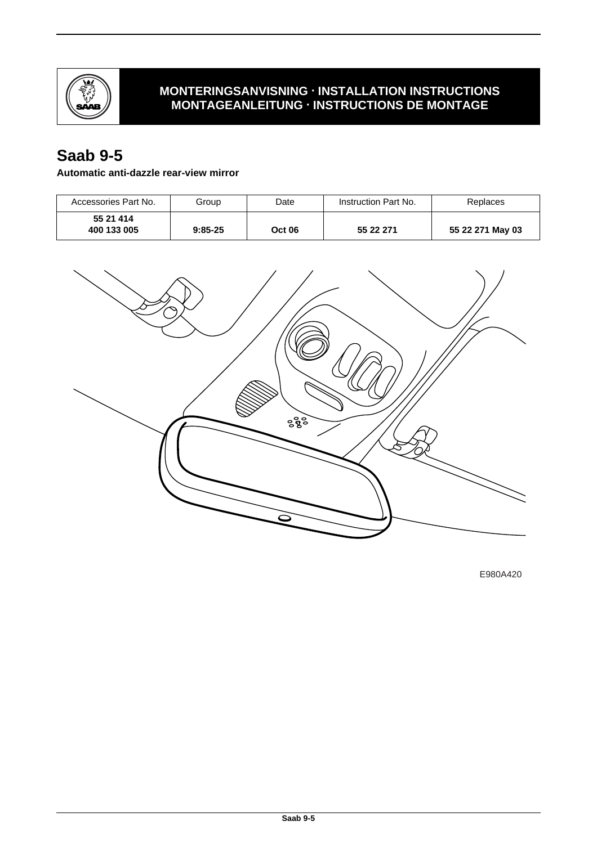

## **MONTERINGSANVISNING · INSTALLATION INSTRUCTIONS MONTAGEANLEITUNG · INSTRUCTIONS DE MONTAGE**

# **Saab 9-5**

#### **Automatic anti-dazzle rear-view mirror**

| Accessories Part No.     | Group     | Date          | Instruction Part No. | Replaces         |
|--------------------------|-----------|---------------|----------------------|------------------|
| 55 21 414<br>400 133 005 | $9:85-25$ | <b>Oct 06</b> | 55 22 271            | 55 22 271 May 03 |



E980A420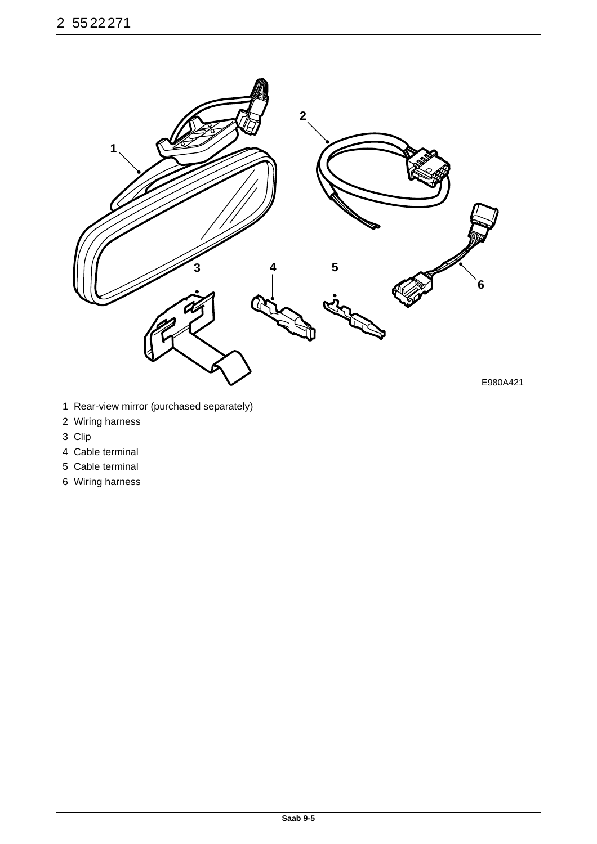

- 1 Rear-view mirror (purchased separately)
- 2 Wiring harness
- 3 Clip
- 4 Cable terminal
- 5 Cable terminal
- 6 Wiring harness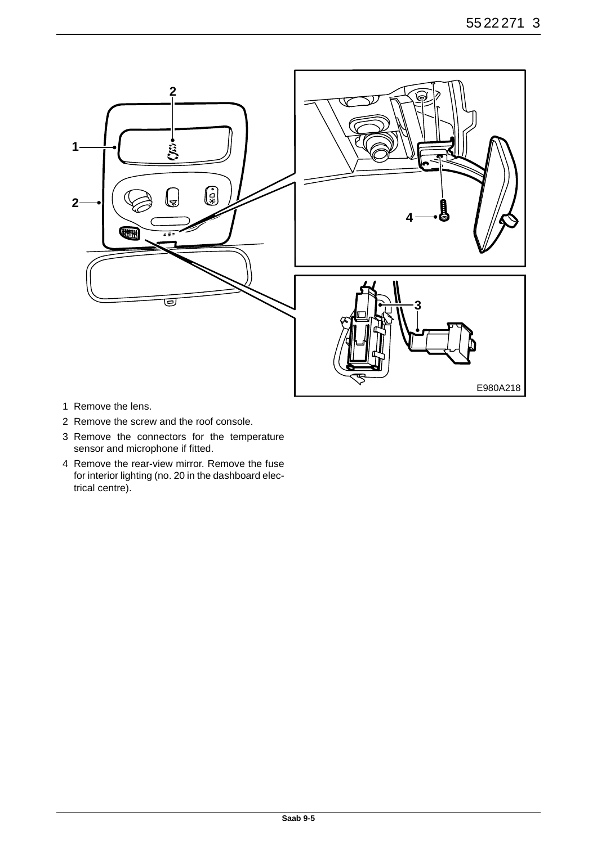

- 1 Remove the lens.
- 2 Remove the screw and the roof console.
- 3 Remove the connectors for the temperature sensor and microphone if fitted.
- 4 Remove the rear-view mirror. Remove the fuse for interior lighting (no. 20 in the dashboard electrical centre).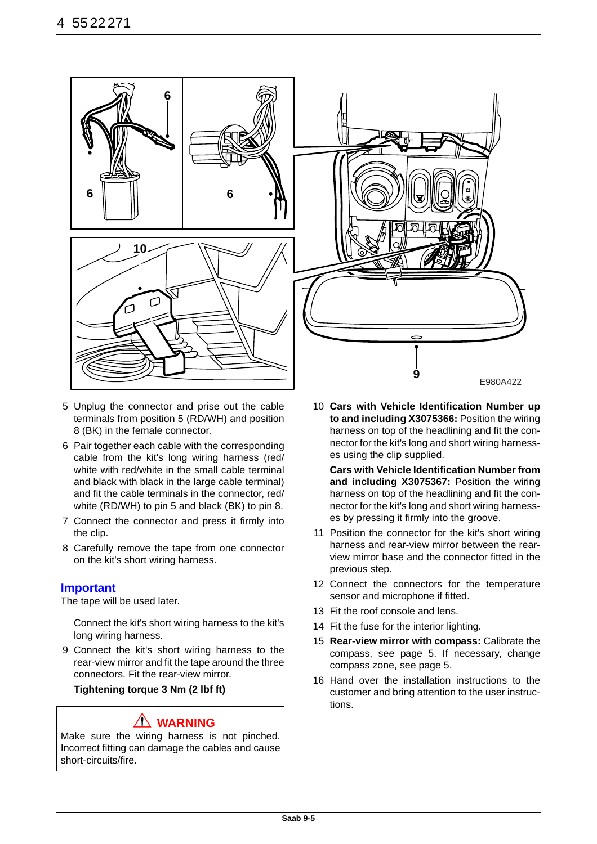

- 5 Unplug the connector and prise out the cable terminals from position 5 (RD/WH) and position 8 (BK) in the female connector.
- 6 Pair together each cable with the corresponding cable from the kit's long wiring harness (red/ white with red/white in the small cable terminal and black with black in the large cable terminal) and fit the cable terminals in the connector, red/ white (RD/WH) to pin 5 and black (BK) to pin 8.
- 7 Connect the connector and press it firmly into the clip.
- 8 Carefully remove the tape from one connector on the kit's short wiring harness.

#### **Important**

The tape will be used later.

Connect the kit's short wiring harness to the kit's long wiring harness.

9 Connect the kit's short wiring harness to the rear-view mirror and fit the tape around the three connectors. Fit the rear-view mirror.

**Tightening torque 3 Nm (2 lbf ft)**

## **WARNING**

Make sure the wiring harness is not pinched. Incorrect fitting can damage the cables and cause short-circuits/fire.



10 **Cars with Vehicle Identification Number up to and including X3075366:** Position the wiring harness on top of the headlining and fit the connector for the kit's long and short wiring harnesses using the clip supplied.

**Cars with Vehicle Identification Number from and including X3075367:** Position the wiring harness on top of the headlining and fit the connector for the kit's long and short wiring harnesses by pressing it firmly into the groove.

- 11 Position the connector for the kit's short wiring harness and rear-view mirror between the rearview mirror base and the connector fitted in the previous step.
- 12 Connect the connectors for the temperature sensor and microphone if fitted.
- 13 Fit the roof console and lens.
- 14 Fit the fuse for the interior lighting.
- 15 **Rear-view mirror with compass:** Calibrate the compass, see page 5. If necessary, change compass zone, see page 5.
- 16 Hand over the installation instructions to the customer and bring attention to the user instructions.